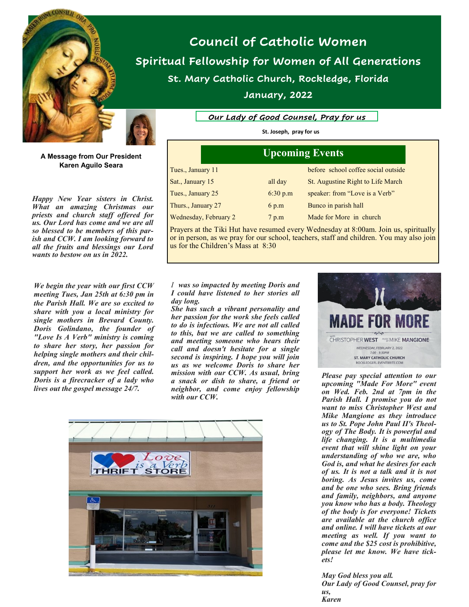



**A Message from Our President Karen Aguilo Seara**

*Happy New Year sisters in Christ. What an amazing Christmas our priests and church staff offered for us. Our Lord has come and we are all so blessed to be members of this parish and CCW. I am looking forward to all the fruits and blessings our Lord wants to bestow on us in 2022.*

*We begin the year with our first CCW meeting Tues, Jan 25th at 6:30 pm in the Parish Hall. We are so excited to share with you a local ministry for single mothers in Brevard County. Doris Golindano, the founder of "Love Is A Verb" ministry is coming to share her story, her passion for helping single mothers and their children, and the opportunities for us to support her work as we feel called. Doris is a firecracker of a lady who lives out the gospel message 24/7.* 

**Council of Catholic Women Spiritual Fellowship for Women of All Generations St. Mary Catholic Church, Rockledge, Florida**

**January, 2022**

*Our Lady of Good Counsel, Pray for us*

**St. Joseph, pray for us**

| <b>Upcoming Events</b> |          |                                     |
|------------------------|----------|-------------------------------------|
| Tues., January 11      |          | before school coffee social outside |
| Sat., January 15       | all day  | St. Augustine Right to Life March   |
| Tues., January 25      | 6:30 p.m | speaker: from "Love is a Verb"      |
| Thurs., January 27     | 6 p.m    | Bunco in parish hall                |
| Wednesday, February 2  | 7 p.m    | Made for More in church             |

Prayers at the Tiki Hut have resumed every Wednesday at 8:00am. Join us, spiritually or in person, as we pray for our school, teachers, staff and children. You may also join us for the Children's Mass at 8:30

### *I was so impacted by meeting Doris and I could have listened to her stories all day long.*

*She has such a vibrant personality and her passion for the work she feels called to do is infectious. We are not all called to this, but we are called to something and meeting someone who hears their call and doesn't hesitate for a single second is inspiring. I hope you will join us as we welcome Doris to share her mission with our CCW. As usual, bring a snack or dish to share, a friend or neighbor, and come enjoy fellowship with our CCW.*





*Please pay special attention to our upcoming "Made For More" event on Wed. Feb. 2nd at 7pm in the Parish Hall. I promise you do not want to miss Christopher West and Mike Mangione as they introduce us to St. Pope John Paul II's Theology of The Body. It is powerful and life changing. It is a multimedia event that will shine light on your understanding of who we are, who God is, and what he desires for each of us. It is not a talk and it is not boring. As Jesus invites us, come and be one who sees. Bring friends and family, neighbors, and anyone you know who has a body. Theology of the body is for everyone! Tickets are available at the church office and online. I will have tickets at our meeting as well. If you want to come and the \$25 cost is prohibitive, please let me know. We have tickets!*

*May God bless you all. Our Lady of Good Counsel, pray for us, Karen*